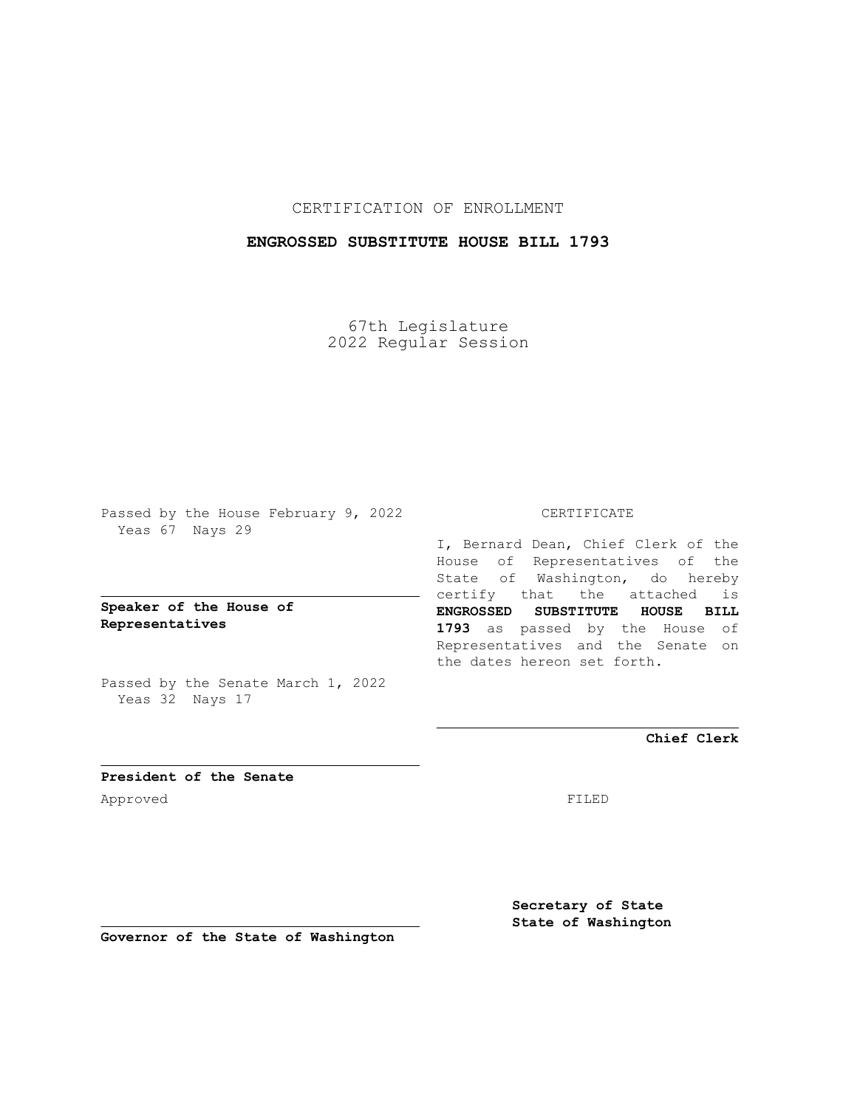CERTIFICATION OF ENROLLMENT

## **ENGROSSED SUBSTITUTE HOUSE BILL 1793**

67th Legislature 2022 Regular Session

Passed by the House February 9, 2022 Yeas 67 Nays 29

**Speaker of the House of Representatives**

Passed by the Senate March 1, 2022 Yeas 32 Nays 17

## CERTIFICATE

I, Bernard Dean, Chief Clerk of the House of Representatives of the State of Washington, do hereby certify that the attached is **ENGROSSED SUBSTITUTE HOUSE BILL 1793** as passed by the House of Representatives and the Senate on the dates hereon set forth.

**Chief Clerk**

**President of the Senate** Approved FILED

**Secretary of State State of Washington**

**Governor of the State of Washington**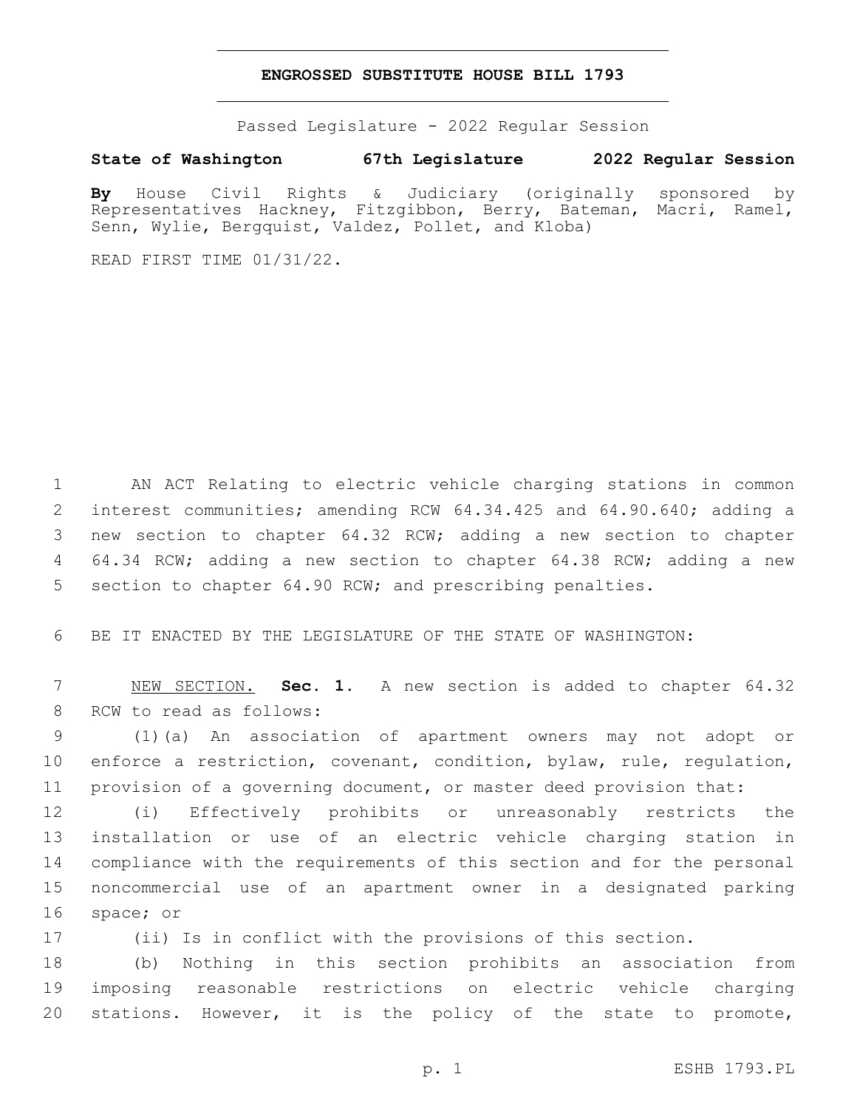## **ENGROSSED SUBSTITUTE HOUSE BILL 1793**

Passed Legislature - 2022 Regular Session

## **State of Washington 67th Legislature 2022 Regular Session**

**By** House Civil Rights & Judiciary (originally sponsored by Representatives Hackney, Fitzgibbon, Berry, Bateman, Macri, Ramel, Senn, Wylie, Bergquist, Valdez, Pollet, and Kloba)

READ FIRST TIME 01/31/22.

 AN ACT Relating to electric vehicle charging stations in common interest communities; amending RCW 64.34.425 and 64.90.640; adding a new section to chapter 64.32 RCW; adding a new section to chapter 64.34 RCW; adding a new section to chapter 64.38 RCW; adding a new 5 section to chapter 64.90 RCW; and prescribing penalties.

BE IT ENACTED BY THE LEGISLATURE OF THE STATE OF WASHINGTON:

 NEW SECTION. **Sec. 1.** A new section is added to chapter 64.32 8 RCW to read as follows:

 (1)(a) An association of apartment owners may not adopt or enforce a restriction, covenant, condition, bylaw, rule, regulation, provision of a governing document, or master deed provision that:

 (i) Effectively prohibits or unreasonably restricts the installation or use of an electric vehicle charging station in compliance with the requirements of this section and for the personal noncommercial use of an apartment owner in a designated parking 16 space; or

(ii) Is in conflict with the provisions of this section.

 (b) Nothing in this section prohibits an association from imposing reasonable restrictions on electric vehicle charging stations. However, it is the policy of the state to promote,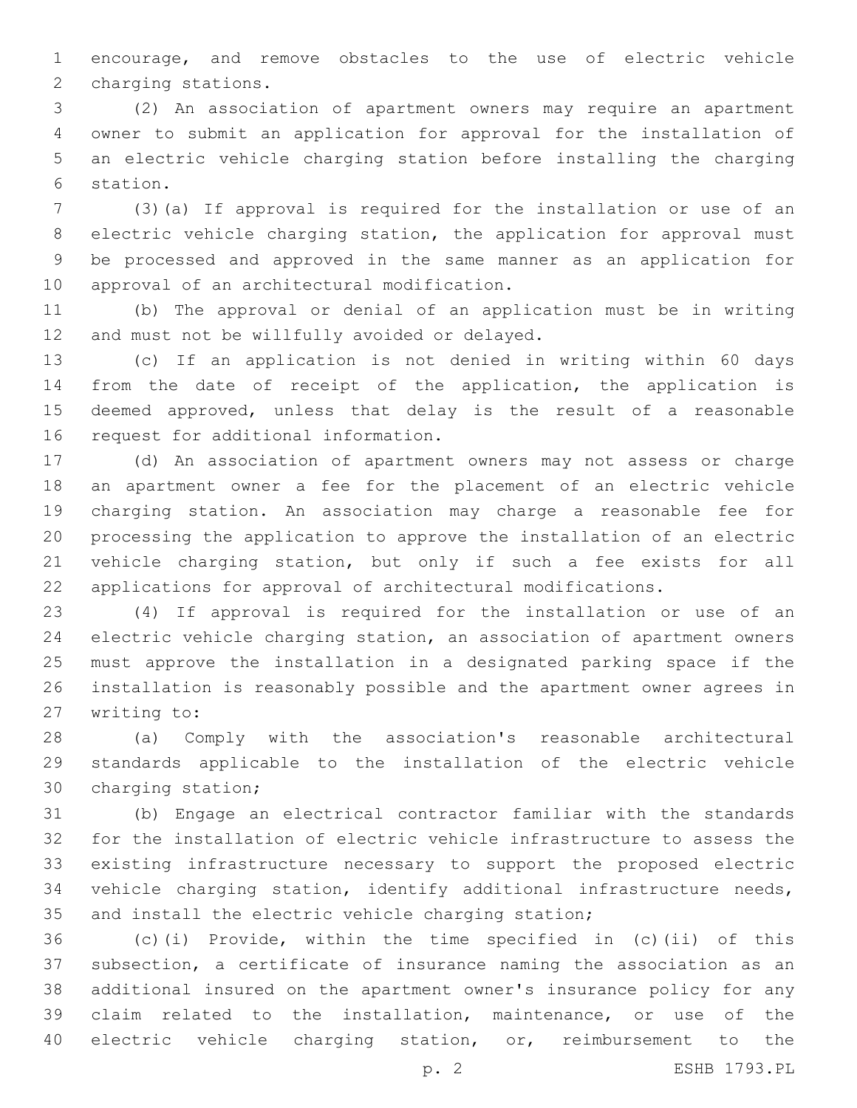encourage, and remove obstacles to the use of electric vehicle 2 charging stations.

 (2) An association of apartment owners may require an apartment owner to submit an application for approval for the installation of an electric vehicle charging station before installing the charging 6 station.

 (3)(a) If approval is required for the installation or use of an electric vehicle charging station, the application for approval must be processed and approved in the same manner as an application for 10 approval of an architectural modification.

 (b) The approval or denial of an application must be in writing 12 and must not be willfully avoided or delayed.

 (c) If an application is not denied in writing within 60 days from the date of receipt of the application, the application is deemed approved, unless that delay is the result of a reasonable 16 request for additional information.

 (d) An association of apartment owners may not assess or charge an apartment owner a fee for the placement of an electric vehicle charging station. An association may charge a reasonable fee for processing the application to approve the installation of an electric vehicle charging station, but only if such a fee exists for all applications for approval of architectural modifications.

 (4) If approval is required for the installation or use of an electric vehicle charging station, an association of apartment owners must approve the installation in a designated parking space if the installation is reasonably possible and the apartment owner agrees in 27 writing to:

 (a) Comply with the association's reasonable architectural standards applicable to the installation of the electric vehicle 30 charging station;

 (b) Engage an electrical contractor familiar with the standards for the installation of electric vehicle infrastructure to assess the existing infrastructure necessary to support the proposed electric vehicle charging station, identify additional infrastructure needs, and install the electric vehicle charging station;

 (c)(i) Provide, within the time specified in (c)(ii) of this subsection, a certificate of insurance naming the association as an additional insured on the apartment owner's insurance policy for any claim related to the installation, maintenance, or use of the electric vehicle charging station, or, reimbursement to the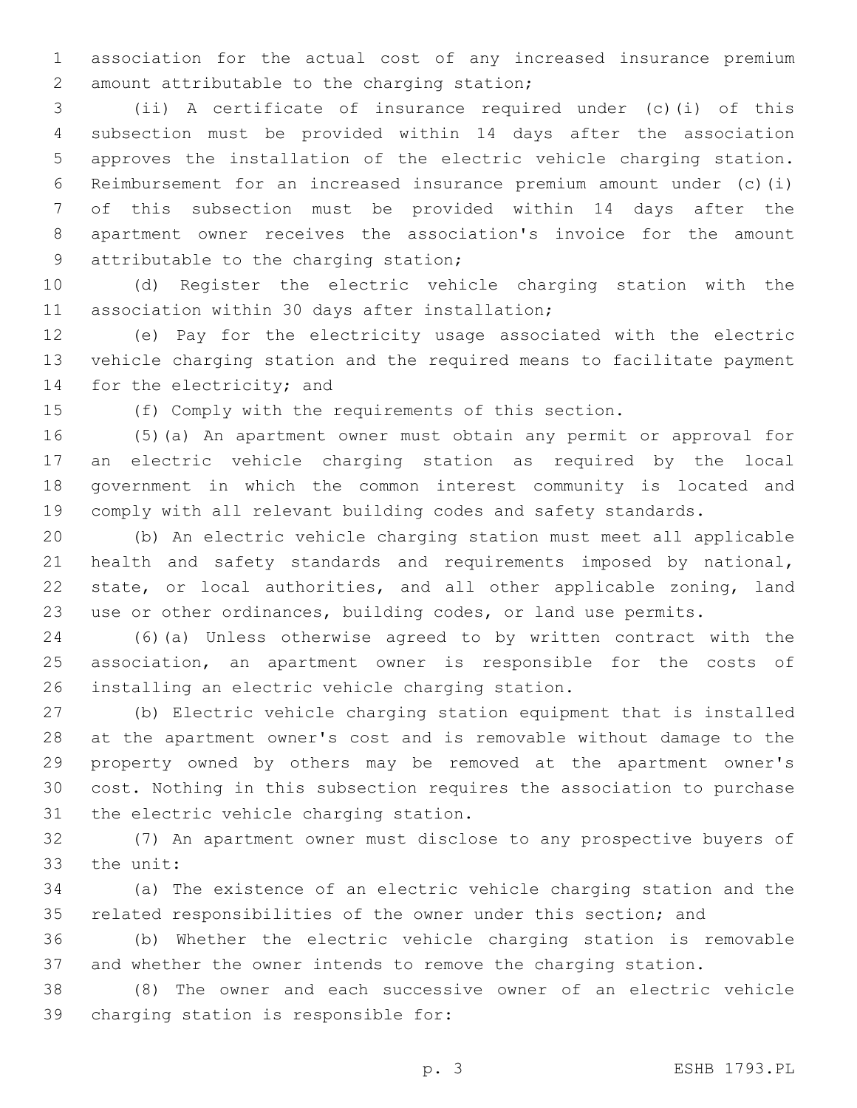association for the actual cost of any increased insurance premium 2 amount attributable to the charging station;

 (ii) A certificate of insurance required under (c)(i) of this subsection must be provided within 14 days after the association approves the installation of the electric vehicle charging station. Reimbursement for an increased insurance premium amount under (c)(i) of this subsection must be provided within 14 days after the apartment owner receives the association's invoice for the amount 9 attributable to the charging station;

 (d) Register the electric vehicle charging station with the 11 association within 30 days after installation;

 (e) Pay for the electricity usage associated with the electric vehicle charging station and the required means to facilitate payment 14 for the electricity; and

(f) Comply with the requirements of this section.

 (5)(a) An apartment owner must obtain any permit or approval for an electric vehicle charging station as required by the local government in which the common interest community is located and comply with all relevant building codes and safety standards.

 (b) An electric vehicle charging station must meet all applicable health and safety standards and requirements imposed by national, state, or local authorities, and all other applicable zoning, land use or other ordinances, building codes, or land use permits.

 (6)(a) Unless otherwise agreed to by written contract with the association, an apartment owner is responsible for the costs of 26 installing an electric vehicle charging station.

 (b) Electric vehicle charging station equipment that is installed at the apartment owner's cost and is removable without damage to the property owned by others may be removed at the apartment owner's cost. Nothing in this subsection requires the association to purchase 31 the electric vehicle charging station.

 (7) An apartment owner must disclose to any prospective buyers of 33 the unit:

 (a) The existence of an electric vehicle charging station and the related responsibilities of the owner under this section; and

 (b) Whether the electric vehicle charging station is removable and whether the owner intends to remove the charging station.

 (8) The owner and each successive owner of an electric vehicle 39 charging station is responsible for: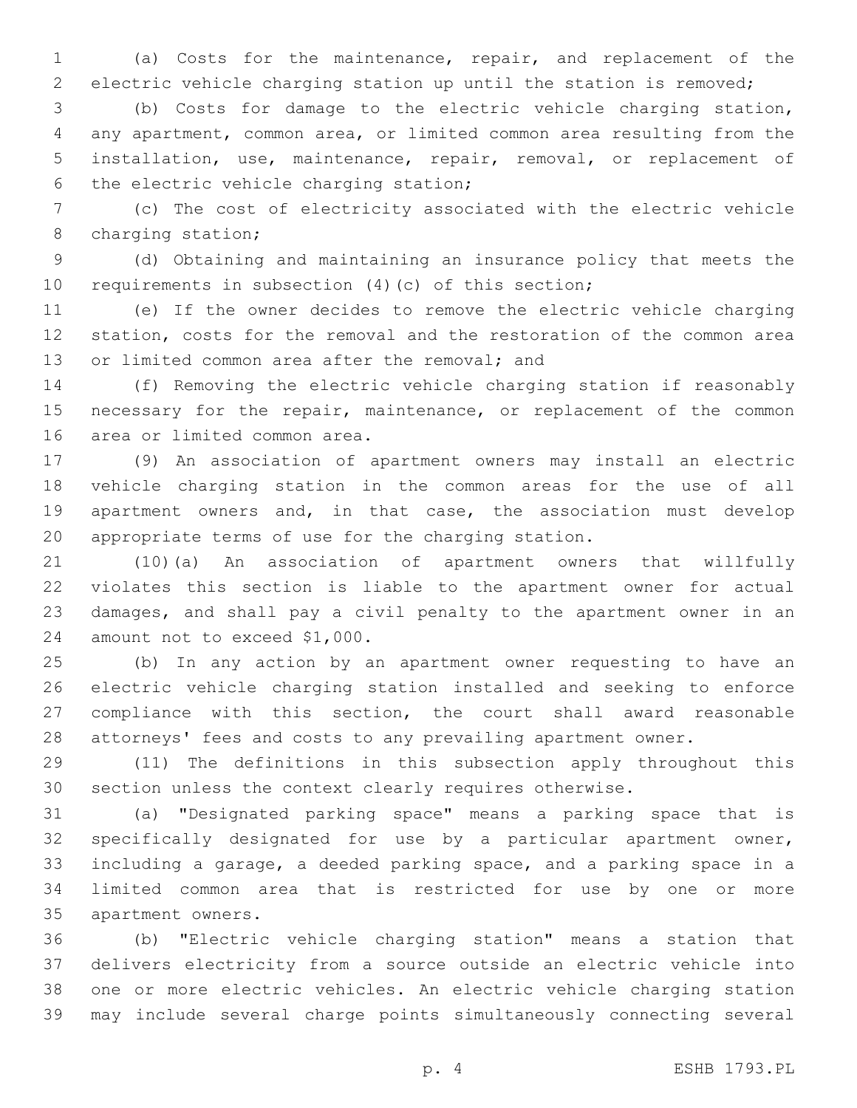(a) Costs for the maintenance, repair, and replacement of the electric vehicle charging station up until the station is removed;

 (b) Costs for damage to the electric vehicle charging station, any apartment, common area, or limited common area resulting from the installation, use, maintenance, repair, removal, or replacement of 6 the electric vehicle charging station;

 (c) The cost of electricity associated with the electric vehicle 8 charging station;

 (d) Obtaining and maintaining an insurance policy that meets the requirements in subsection (4)(c) of this section;

 (e) If the owner decides to remove the electric vehicle charging station, costs for the removal and the restoration of the common area 13 or limited common area after the removal; and

 (f) Removing the electric vehicle charging station if reasonably 15 necessary for the repair, maintenance, or replacement of the common 16 area or limited common area.

 (9) An association of apartment owners may install an electric vehicle charging station in the common areas for the use of all apartment owners and, in that case, the association must develop appropriate terms of use for the charging station.

 (10)(a) An association of apartment owners that willfully violates this section is liable to the apartment owner for actual damages, and shall pay a civil penalty to the apartment owner in an 24 amount not to exceed \$1,000.

 (b) In any action by an apartment owner requesting to have an electric vehicle charging station installed and seeking to enforce compliance with this section, the court shall award reasonable attorneys' fees and costs to any prevailing apartment owner.

 (11) The definitions in this subsection apply throughout this section unless the context clearly requires otherwise.

 (a) "Designated parking space" means a parking space that is specifically designated for use by a particular apartment owner, including a garage, a deeded parking space, and a parking space in a limited common area that is restricted for use by one or more 35 apartment owners.

 (b) "Electric vehicle charging station" means a station that delivers electricity from a source outside an electric vehicle into one or more electric vehicles. An electric vehicle charging station may include several charge points simultaneously connecting several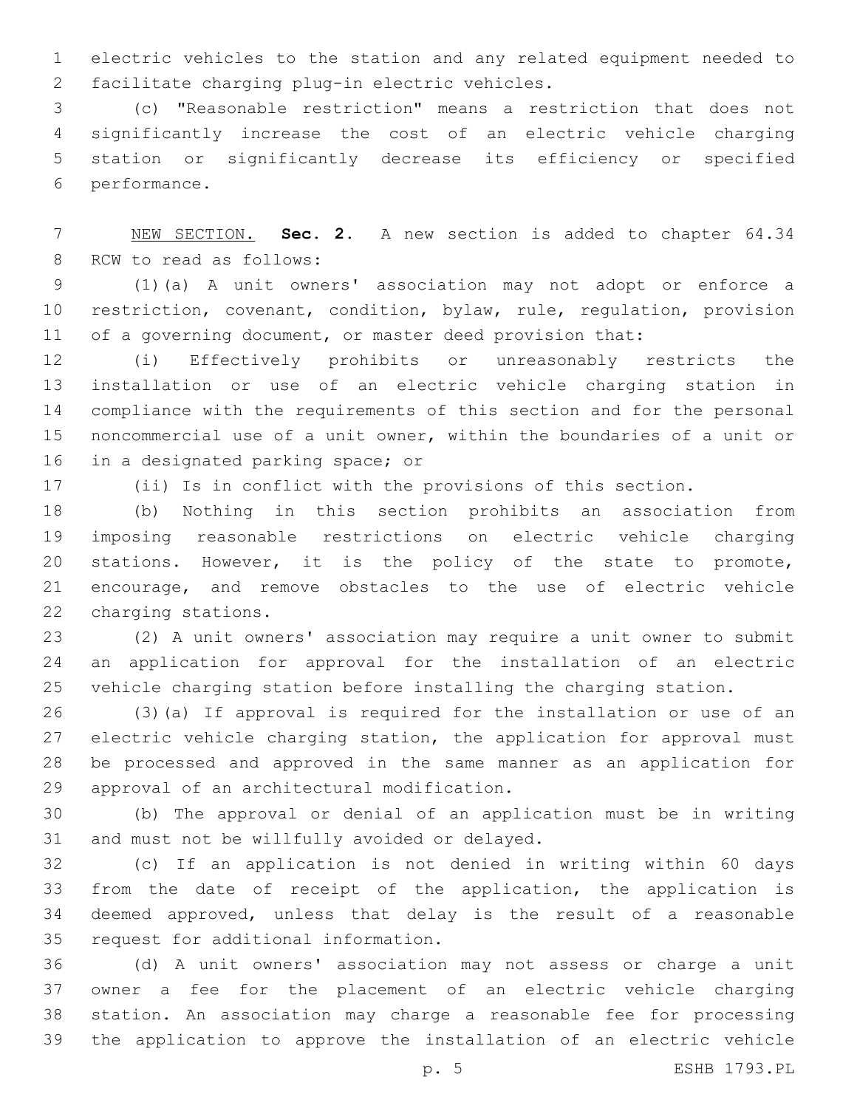electric vehicles to the station and any related equipment needed to 2 facilitate charging plug-in electric vehicles.

 (c) "Reasonable restriction" means a restriction that does not significantly increase the cost of an electric vehicle charging station or significantly decrease its efficiency or specified 6 performance.

 NEW SECTION. **Sec. 2.** A new section is added to chapter 64.34 8 RCW to read as follows:

 (1)(a) A unit owners' association may not adopt or enforce a restriction, covenant, condition, bylaw, rule, regulation, provision 11 of a governing document, or master deed provision that:

 (i) Effectively prohibits or unreasonably restricts the installation or use of an electric vehicle charging station in compliance with the requirements of this section and for the personal noncommercial use of a unit owner, within the boundaries of a unit or 16 in a designated parking space; or

(ii) Is in conflict with the provisions of this section.

 (b) Nothing in this section prohibits an association from imposing reasonable restrictions on electric vehicle charging stations. However, it is the policy of the state to promote, encourage, and remove obstacles to the use of electric vehicle 22 charging stations.

 (2) A unit owners' association may require a unit owner to submit an application for approval for the installation of an electric vehicle charging station before installing the charging station.

 (3)(a) If approval is required for the installation or use of an electric vehicle charging station, the application for approval must be processed and approved in the same manner as an application for 29 approval of an architectural modification.

 (b) The approval or denial of an application must be in writing 31 and must not be willfully avoided or delayed.

 (c) If an application is not denied in writing within 60 days from the date of receipt of the application, the application is deemed approved, unless that delay is the result of a reasonable 35 request for additional information.

 (d) A unit owners' association may not assess or charge a unit owner a fee for the placement of an electric vehicle charging station. An association may charge a reasonable fee for processing the application to approve the installation of an electric vehicle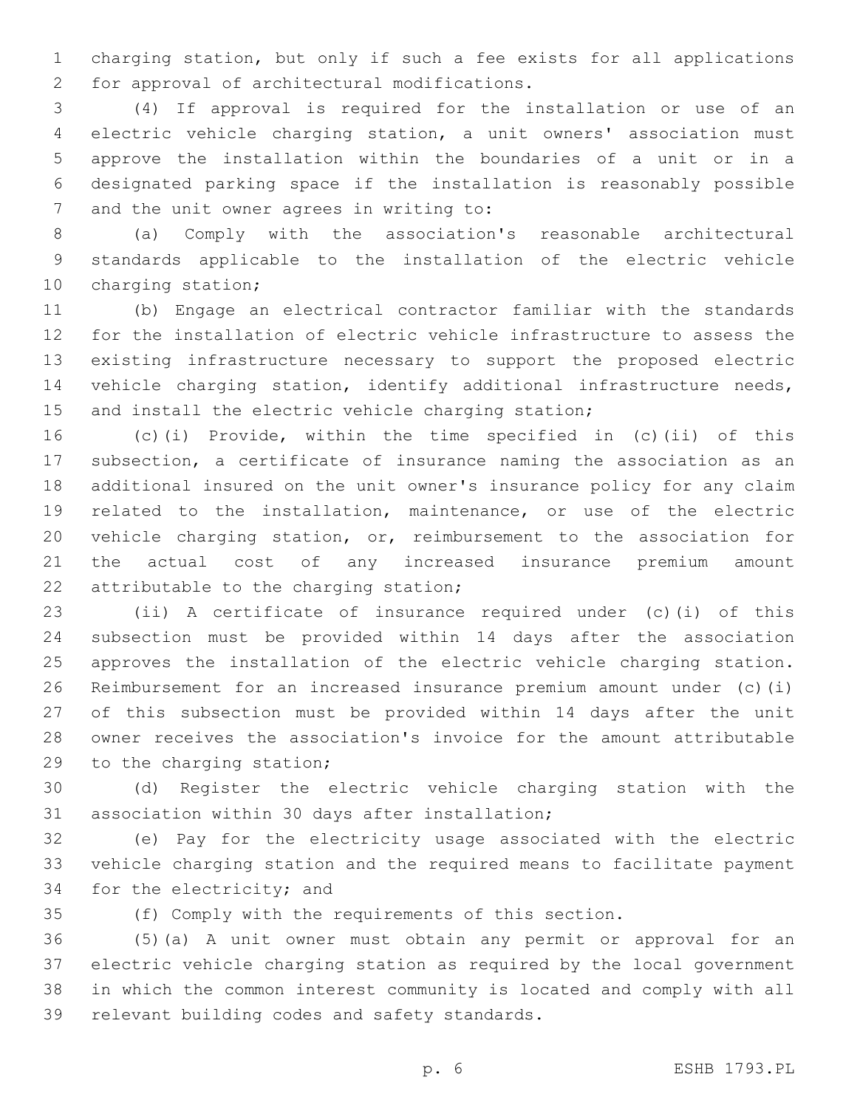charging station, but only if such a fee exists for all applications 2 for approval of architectural modifications.

 (4) If approval is required for the installation or use of an electric vehicle charging station, a unit owners' association must approve the installation within the boundaries of a unit or in a designated parking space if the installation is reasonably possible 7 and the unit owner agrees in writing to:

 (a) Comply with the association's reasonable architectural standards applicable to the installation of the electric vehicle 10 charging station;

 (b) Engage an electrical contractor familiar with the standards for the installation of electric vehicle infrastructure to assess the existing infrastructure necessary to support the proposed electric 14 vehicle charging station, identify additional infrastructure needs, 15 and install the electric vehicle charging station;

 (c)(i) Provide, within the time specified in (c)(ii) of this subsection, a certificate of insurance naming the association as an additional insured on the unit owner's insurance policy for any claim related to the installation, maintenance, or use of the electric vehicle charging station, or, reimbursement to the association for the actual cost of any increased insurance premium amount 22 attributable to the charging station;

 (ii) A certificate of insurance required under (c)(i) of this subsection must be provided within 14 days after the association approves the installation of the electric vehicle charging station. Reimbursement for an increased insurance premium amount under (c)(i) of this subsection must be provided within 14 days after the unit owner receives the association's invoice for the amount attributable 29 to the charging station;

 (d) Register the electric vehicle charging station with the 31 association within 30 days after installation;

 (e) Pay for the electricity usage associated with the electric vehicle charging station and the required means to facilitate payment 34 for the electricity; and

(f) Comply with the requirements of this section.

 (5)(a) A unit owner must obtain any permit or approval for an electric vehicle charging station as required by the local government in which the common interest community is located and comply with all 39 relevant building codes and safety standards.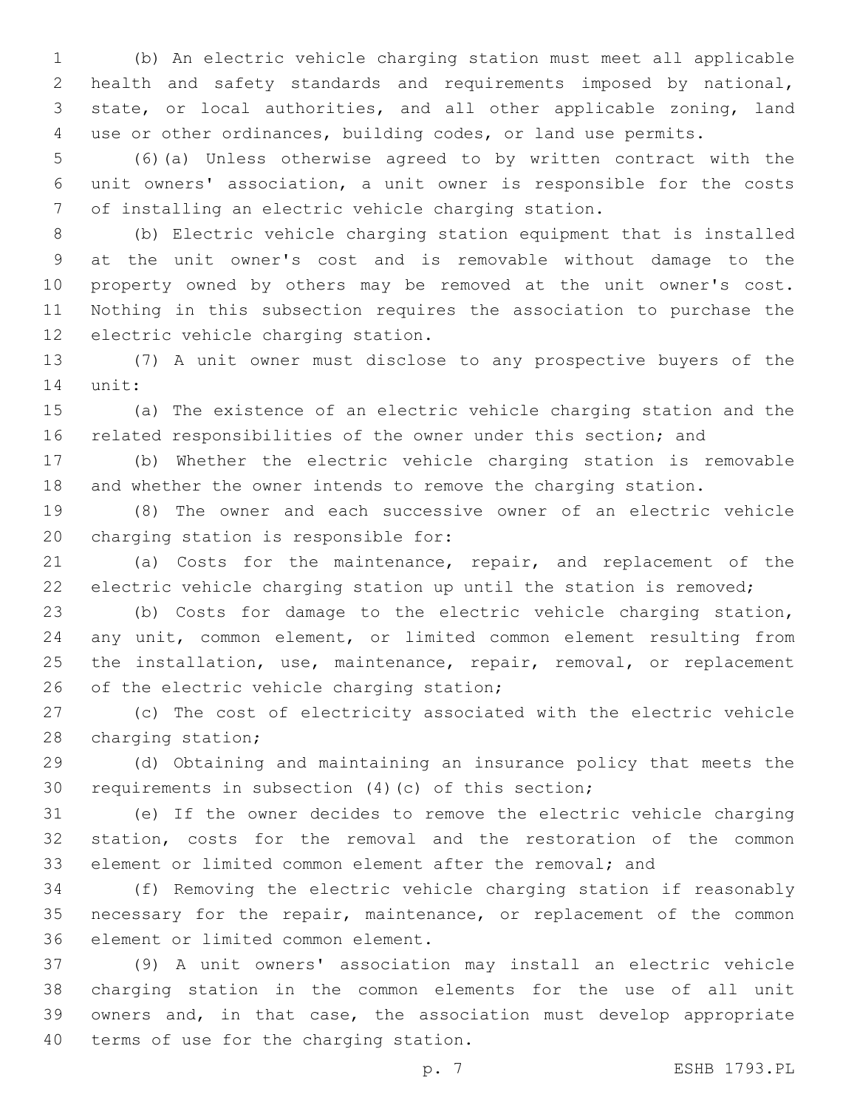(b) An electric vehicle charging station must meet all applicable health and safety standards and requirements imposed by national, state, or local authorities, and all other applicable zoning, land use or other ordinances, building codes, or land use permits.

 (6)(a) Unless otherwise agreed to by written contract with the unit owners' association, a unit owner is responsible for the costs of installing an electric vehicle charging station.

 (b) Electric vehicle charging station equipment that is installed at the unit owner's cost and is removable without damage to the property owned by others may be removed at the unit owner's cost. Nothing in this subsection requires the association to purchase the 12 electric vehicle charging station.

 (7) A unit owner must disclose to any prospective buyers of the 14 unit:

 (a) The existence of an electric vehicle charging station and the related responsibilities of the owner under this section; and

 (b) Whether the electric vehicle charging station is removable and whether the owner intends to remove the charging station.

 (8) The owner and each successive owner of an electric vehicle 20 charging station is responsible for:

 (a) Costs for the maintenance, repair, and replacement of the electric vehicle charging station up until the station is removed;

 (b) Costs for damage to the electric vehicle charging station, any unit, common element, or limited common element resulting from 25 the installation, use, maintenance, repair, removal, or replacement 26 of the electric vehicle charging station;

 (c) The cost of electricity associated with the electric vehicle 28 charging station;

 (d) Obtaining and maintaining an insurance policy that meets the requirements in subsection (4)(c) of this section;

 (e) If the owner decides to remove the electric vehicle charging station, costs for the removal and the restoration of the common element or limited common element after the removal; and

 (f) Removing the electric vehicle charging station if reasonably 35 necessary for the repair, maintenance, or replacement of the common 36 element or limited common element.

 (9) A unit owners' association may install an electric vehicle charging station in the common elements for the use of all unit owners and, in that case, the association must develop appropriate 40 terms of use for the charging station.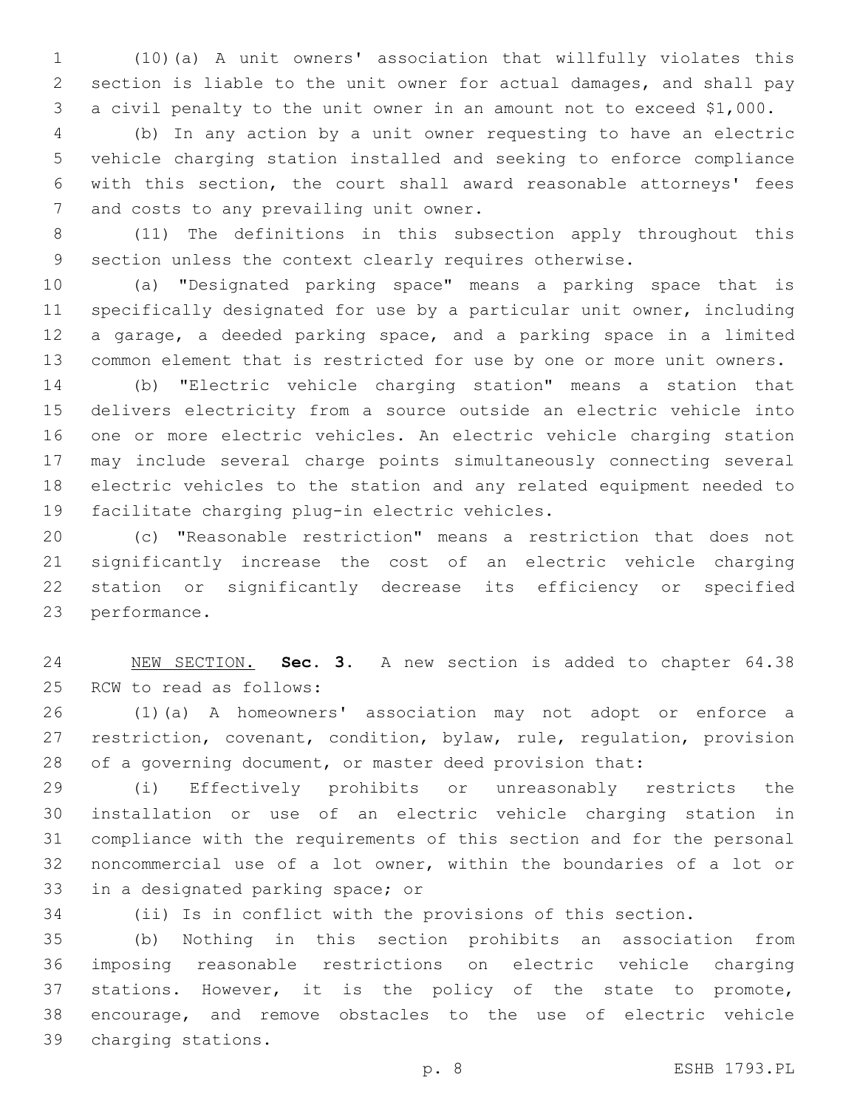(10)(a) A unit owners' association that willfully violates this section is liable to the unit owner for actual damages, and shall pay a civil penalty to the unit owner in an amount not to exceed \$1,000.

 (b) In any action by a unit owner requesting to have an electric vehicle charging station installed and seeking to enforce compliance with this section, the court shall award reasonable attorneys' fees 7 and costs to any prevailing unit owner.

 (11) The definitions in this subsection apply throughout this section unless the context clearly requires otherwise.

 (a) "Designated parking space" means a parking space that is specifically designated for use by a particular unit owner, including a garage, a deeded parking space, and a parking space in a limited common element that is restricted for use by one or more unit owners.

 (b) "Electric vehicle charging station" means a station that delivers electricity from a source outside an electric vehicle into one or more electric vehicles. An electric vehicle charging station may include several charge points simultaneously connecting several electric vehicles to the station and any related equipment needed to 19 facilitate charging plug-in electric vehicles.

 (c) "Reasonable restriction" means a restriction that does not significantly increase the cost of an electric vehicle charging station or significantly decrease its efficiency or specified 23 performance.

 NEW SECTION. **Sec. 3.** A new section is added to chapter 64.38 25 RCW to read as follows:

 (1)(a) A homeowners' association may not adopt or enforce a restriction, covenant, condition, bylaw, rule, regulation, provision of a governing document, or master deed provision that:

 (i) Effectively prohibits or unreasonably restricts the installation or use of an electric vehicle charging station in compliance with the requirements of this section and for the personal noncommercial use of a lot owner, within the boundaries of a lot or 33 in a designated parking space; or

(ii) Is in conflict with the provisions of this section.

 (b) Nothing in this section prohibits an association from imposing reasonable restrictions on electric vehicle charging stations. However, it is the policy of the state to promote, encourage, and remove obstacles to the use of electric vehicle charging stations.39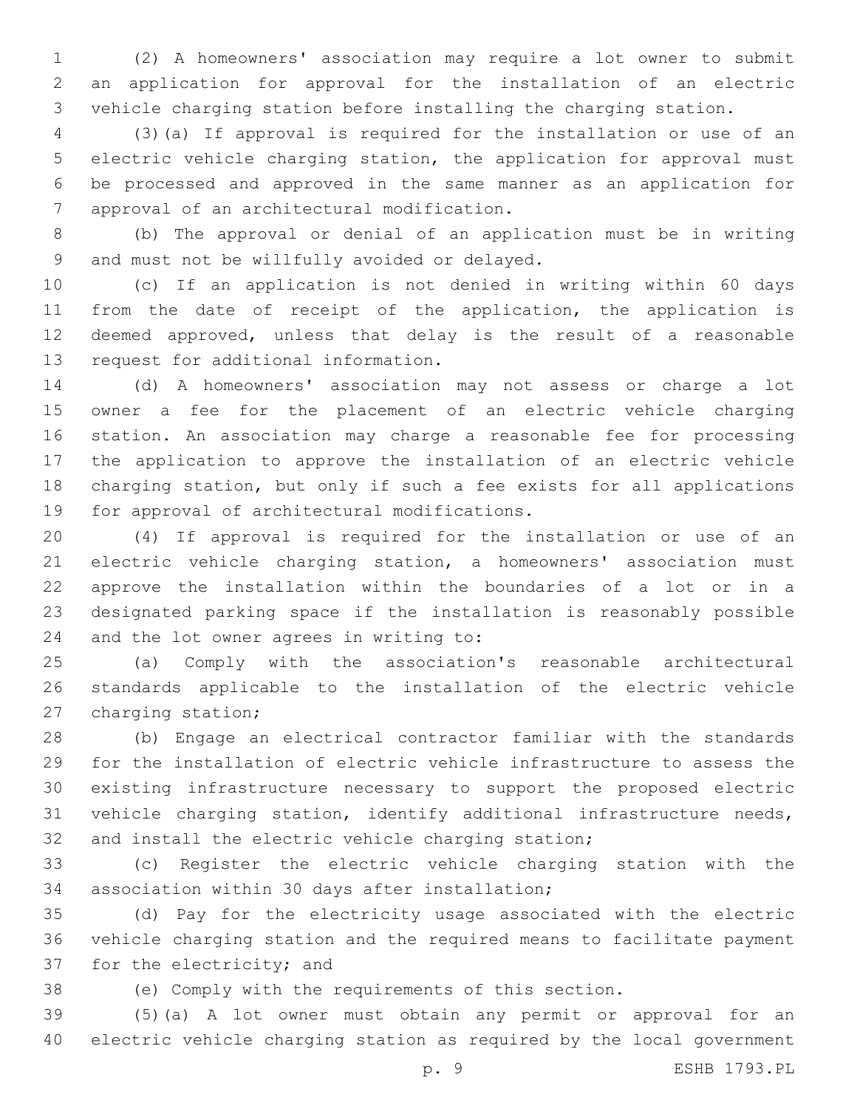(2) A homeowners' association may require a lot owner to submit an application for approval for the installation of an electric vehicle charging station before installing the charging station.

 (3)(a) If approval is required for the installation or use of an electric vehicle charging station, the application for approval must be processed and approved in the same manner as an application for 7 approval of an architectural modification.

 (b) The approval or denial of an application must be in writing 9 and must not be willfully avoided or delayed.

 (c) If an application is not denied in writing within 60 days from the date of receipt of the application, the application is deemed approved, unless that delay is the result of a reasonable 13 request for additional information.

 (d) A homeowners' association may not assess or charge a lot owner a fee for the placement of an electric vehicle charging station. An association may charge a reasonable fee for processing the application to approve the installation of an electric vehicle charging station, but only if such a fee exists for all applications 19 for approval of architectural modifications.

 (4) If approval is required for the installation or use of an electric vehicle charging station, a homeowners' association must approve the installation within the boundaries of a lot or in a designated parking space if the installation is reasonably possible 24 and the lot owner agrees in writing to:

 (a) Comply with the association's reasonable architectural standards applicable to the installation of the electric vehicle 27 charging station;

 (b) Engage an electrical contractor familiar with the standards for the installation of electric vehicle infrastructure to assess the existing infrastructure necessary to support the proposed electric vehicle charging station, identify additional infrastructure needs, and install the electric vehicle charging station;

 (c) Register the electric vehicle charging station with the 34 association within 30 days after installation;

 (d) Pay for the electricity usage associated with the electric vehicle charging station and the required means to facilitate payment 37 for the electricity; and

(e) Comply with the requirements of this section.

 (5)(a) A lot owner must obtain any permit or approval for an electric vehicle charging station as required by the local government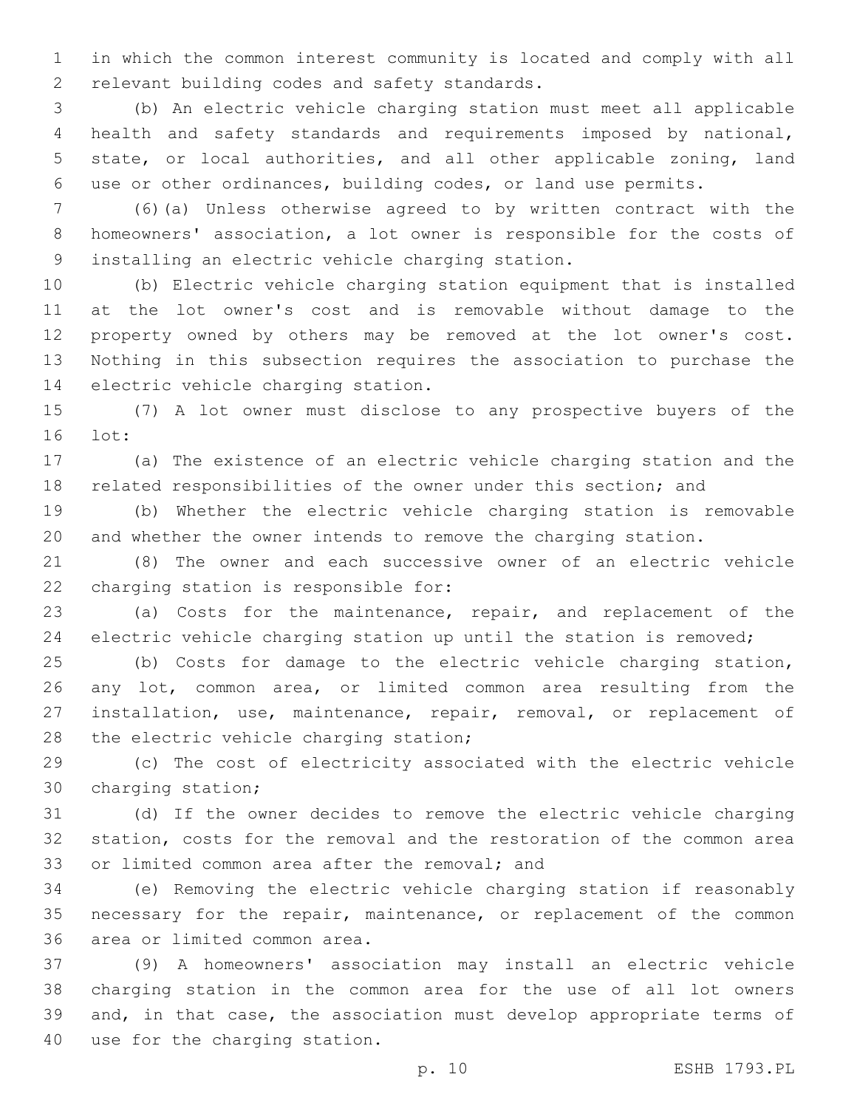in which the common interest community is located and comply with all 2 relevant building codes and safety standards.

 (b) An electric vehicle charging station must meet all applicable health and safety standards and requirements imposed by national, state, or local authorities, and all other applicable zoning, land use or other ordinances, building codes, or land use permits.

 (6)(a) Unless otherwise agreed to by written contract with the homeowners' association, a lot owner is responsible for the costs of 9 installing an electric vehicle charging station.

 (b) Electric vehicle charging station equipment that is installed at the lot owner's cost and is removable without damage to the property owned by others may be removed at the lot owner's cost. Nothing in this subsection requires the association to purchase the 14 electric vehicle charging station.

 (7) A lot owner must disclose to any prospective buyers of the 16 lot:

 (a) The existence of an electric vehicle charging station and the related responsibilities of the owner under this section; and

 (b) Whether the electric vehicle charging station is removable and whether the owner intends to remove the charging station.

 (8) The owner and each successive owner of an electric vehicle 22 charging station is responsible for:

 (a) Costs for the maintenance, repair, and replacement of the electric vehicle charging station up until the station is removed;

 (b) Costs for damage to the electric vehicle charging station, any lot, common area, or limited common area resulting from the installation, use, maintenance, repair, removal, or replacement of 28 the electric vehicle charging station;

 (c) The cost of electricity associated with the electric vehicle 30 charging station;

 (d) If the owner decides to remove the electric vehicle charging station, costs for the removal and the restoration of the common area 33 or limited common area after the removal; and

 (e) Removing the electric vehicle charging station if reasonably 35 necessary for the repair, maintenance, or replacement of the common 36 area or limited common area.

 (9) A homeowners' association may install an electric vehicle charging station in the common area for the use of all lot owners and, in that case, the association must develop appropriate terms of 40 use for the charging station.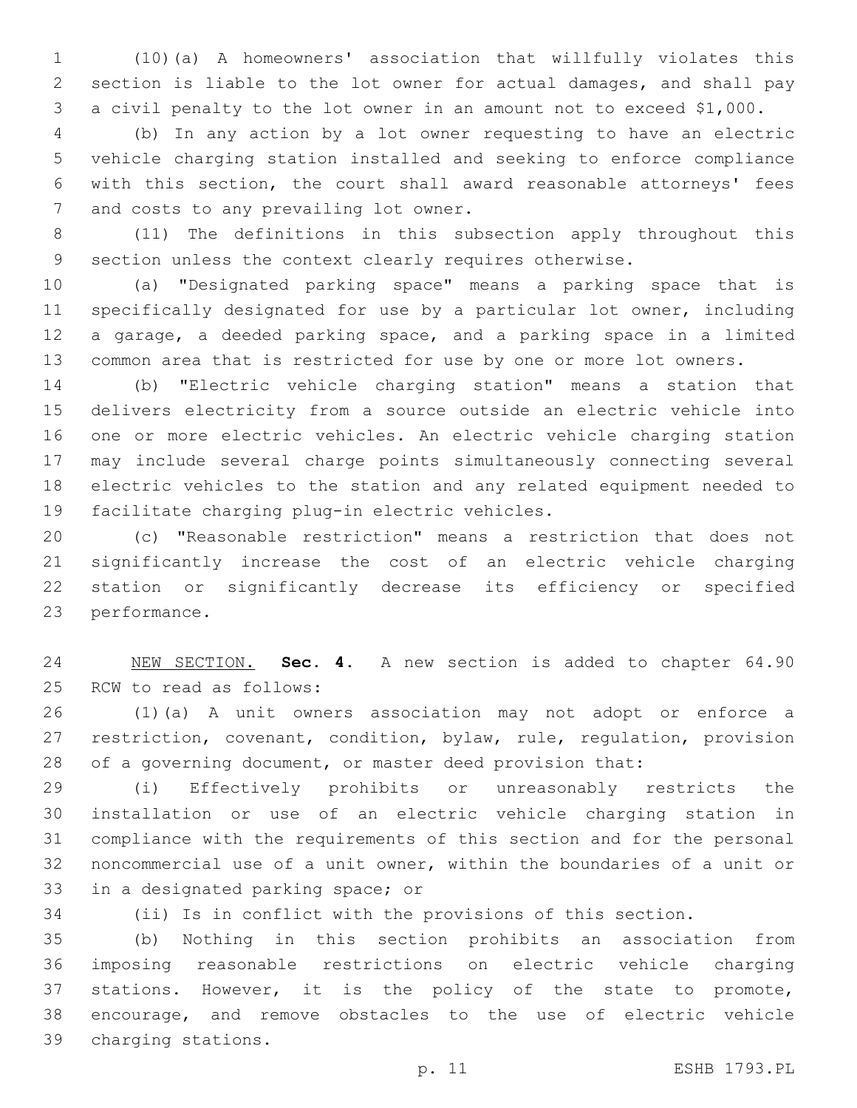(10)(a) A homeowners' association that willfully violates this section is liable to the lot owner for actual damages, and shall pay a civil penalty to the lot owner in an amount not to exceed \$1,000.

 (b) In any action by a lot owner requesting to have an electric vehicle charging station installed and seeking to enforce compliance with this section, the court shall award reasonable attorneys' fees 7 and costs to any prevailing lot owner.

 (11) The definitions in this subsection apply throughout this section unless the context clearly requires otherwise.

 (a) "Designated parking space" means a parking space that is specifically designated for use by a particular lot owner, including a garage, a deeded parking space, and a parking space in a limited common area that is restricted for use by one or more lot owners.

 (b) "Electric vehicle charging station" means a station that delivers electricity from a source outside an electric vehicle into one or more electric vehicles. An electric vehicle charging station may include several charge points simultaneously connecting several electric vehicles to the station and any related equipment needed to 19 facilitate charging plug-in electric vehicles.

 (c) "Reasonable restriction" means a restriction that does not significantly increase the cost of an electric vehicle charging station or significantly decrease its efficiency or specified 23 performance.

 NEW SECTION. **Sec. 4.** A new section is added to chapter 64.90 25 RCW to read as follows:

 (1)(a) A unit owners association may not adopt or enforce a restriction, covenant, condition, bylaw, rule, regulation, provision of a governing document, or master deed provision that:

 (i) Effectively prohibits or unreasonably restricts the installation or use of an electric vehicle charging station in compliance with the requirements of this section and for the personal noncommercial use of a unit owner, within the boundaries of a unit or 33 in a designated parking space; or

(ii) Is in conflict with the provisions of this section.

 (b) Nothing in this section prohibits an association from imposing reasonable restrictions on electric vehicle charging stations. However, it is the policy of the state to promote, encourage, and remove obstacles to the use of electric vehicle charging stations.39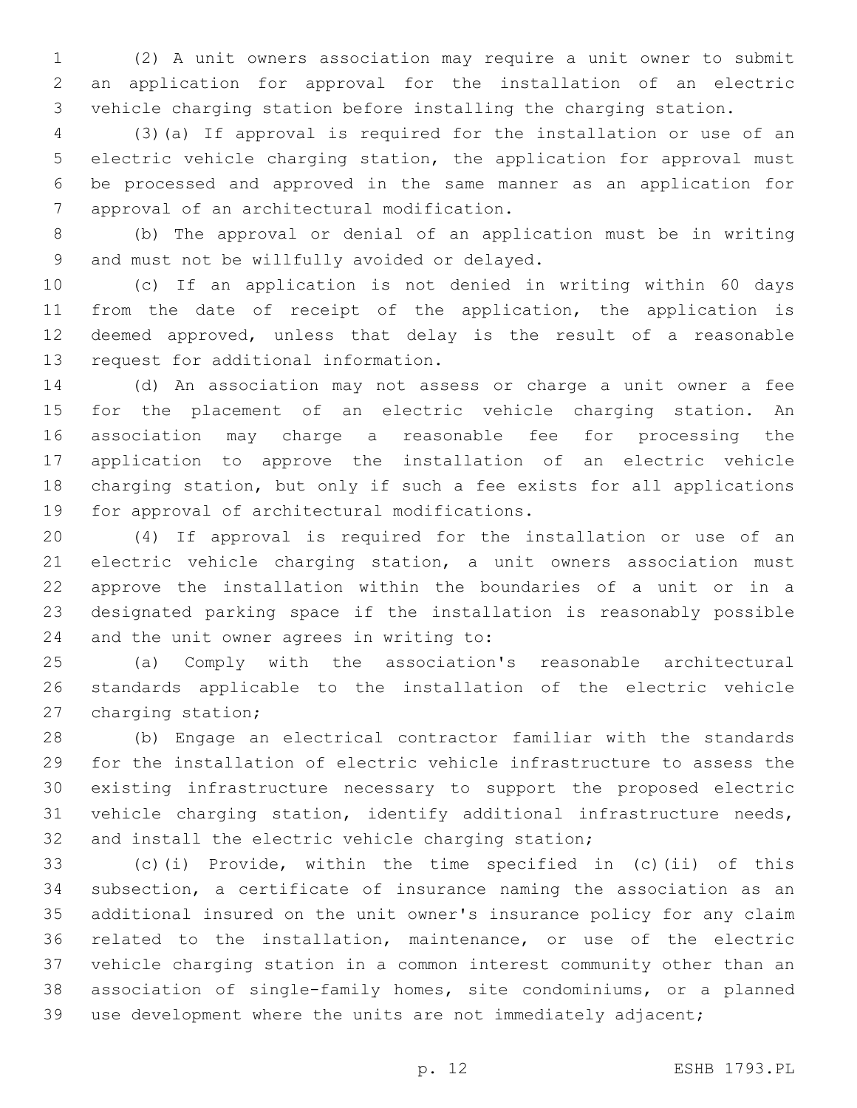(2) A unit owners association may require a unit owner to submit an application for approval for the installation of an electric vehicle charging station before installing the charging station.

 (3)(a) If approval is required for the installation or use of an electric vehicle charging station, the application for approval must be processed and approved in the same manner as an application for 7 approval of an architectural modification.

 (b) The approval or denial of an application must be in writing 9 and must not be willfully avoided or delayed.

 (c) If an application is not denied in writing within 60 days from the date of receipt of the application, the application is deemed approved, unless that delay is the result of a reasonable 13 request for additional information.

 (d) An association may not assess or charge a unit owner a fee for the placement of an electric vehicle charging station. An association may charge a reasonable fee for processing the application to approve the installation of an electric vehicle charging station, but only if such a fee exists for all applications 19 for approval of architectural modifications.

 (4) If approval is required for the installation or use of an electric vehicle charging station, a unit owners association must approve the installation within the boundaries of a unit or in a designated parking space if the installation is reasonably possible 24 and the unit owner agrees in writing to:

 (a) Comply with the association's reasonable architectural standards applicable to the installation of the electric vehicle 27 charging station;

 (b) Engage an electrical contractor familiar with the standards for the installation of electric vehicle infrastructure to assess the existing infrastructure necessary to support the proposed electric vehicle charging station, identify additional infrastructure needs, and install the electric vehicle charging station;

 (c)(i) Provide, within the time specified in (c)(ii) of this subsection, a certificate of insurance naming the association as an additional insured on the unit owner's insurance policy for any claim related to the installation, maintenance, or use of the electric vehicle charging station in a common interest community other than an association of single-family homes, site condominiums, or a planned use development where the units are not immediately adjacent;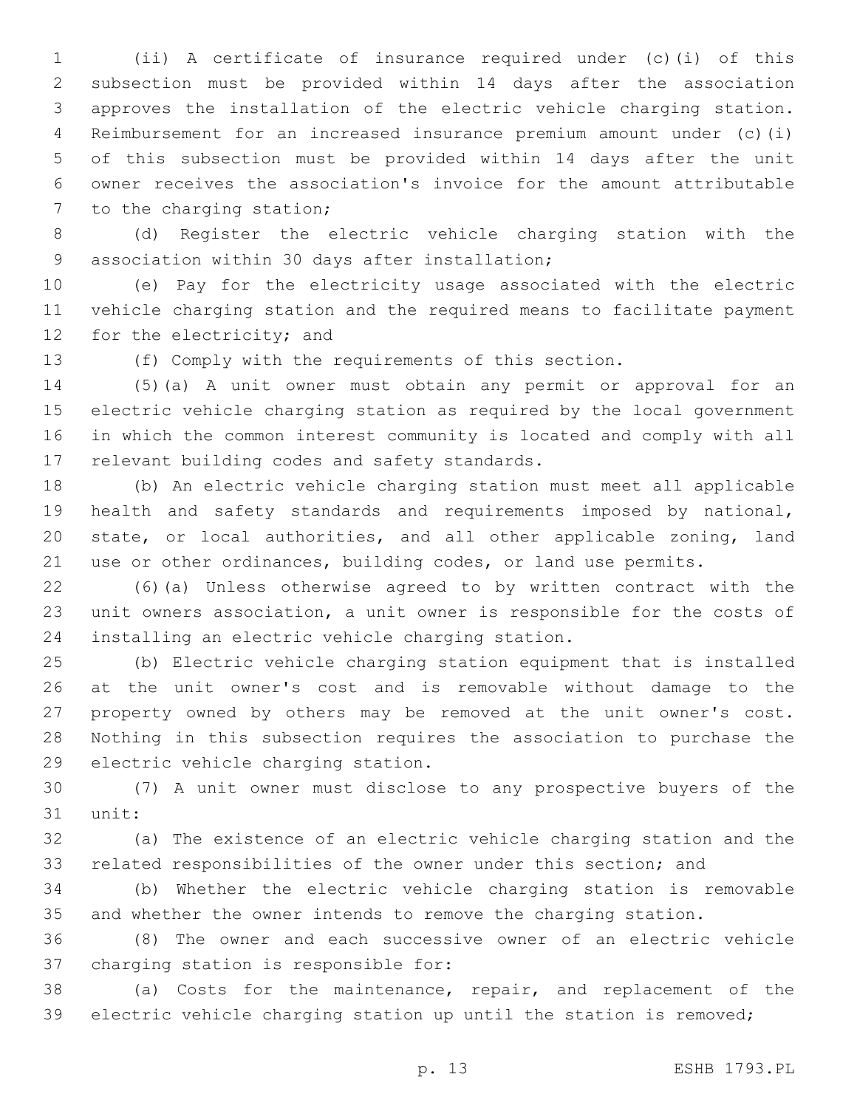(ii) A certificate of insurance required under (c)(i) of this subsection must be provided within 14 days after the association approves the installation of the electric vehicle charging station. Reimbursement for an increased insurance premium amount under (c)(i) of this subsection must be provided within 14 days after the unit owner receives the association's invoice for the amount attributable 7 to the charging station;

 (d) Register the electric vehicle charging station with the 9 association within 30 days after installation;

 (e) Pay for the electricity usage associated with the electric vehicle charging station and the required means to facilitate payment 12 for the electricity; and

(f) Comply with the requirements of this section.

 (5)(a) A unit owner must obtain any permit or approval for an electric vehicle charging station as required by the local government in which the common interest community is located and comply with all 17 relevant building codes and safety standards.

 (b) An electric vehicle charging station must meet all applicable health and safety standards and requirements imposed by national, state, or local authorities, and all other applicable zoning, land use or other ordinances, building codes, or land use permits.

 (6)(a) Unless otherwise agreed to by written contract with the unit owners association, a unit owner is responsible for the costs of 24 installing an electric vehicle charging station.

 (b) Electric vehicle charging station equipment that is installed at the unit owner's cost and is removable without damage to the property owned by others may be removed at the unit owner's cost. Nothing in this subsection requires the association to purchase the 29 electric vehicle charging station.

 (7) A unit owner must disclose to any prospective buyers of the 31 unit:

 (a) The existence of an electric vehicle charging station and the related responsibilities of the owner under this section; and

 (b) Whether the electric vehicle charging station is removable and whether the owner intends to remove the charging station.

 (8) The owner and each successive owner of an electric vehicle 37 charging station is responsible for:

 (a) Costs for the maintenance, repair, and replacement of the electric vehicle charging station up until the station is removed;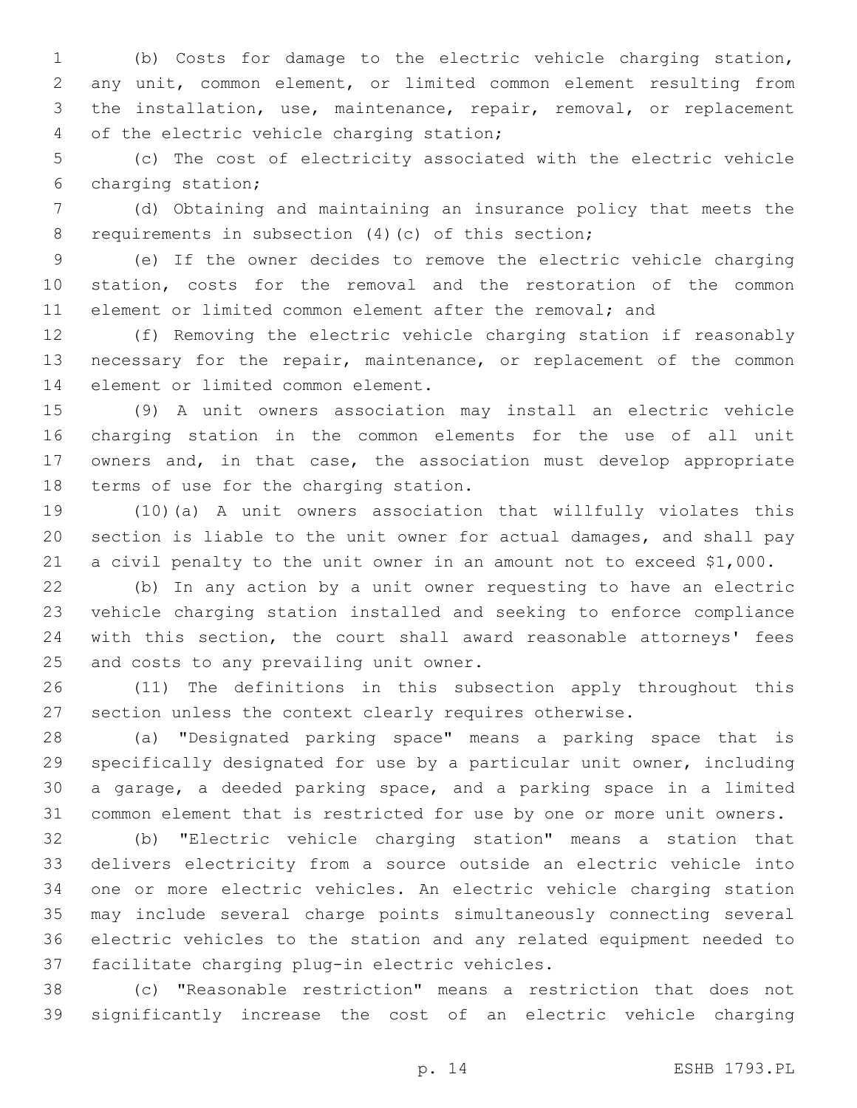(b) Costs for damage to the electric vehicle charging station, any unit, common element, or limited common element resulting from the installation, use, maintenance, repair, removal, or replacement 4 of the electric vehicle charging station;

 (c) The cost of electricity associated with the electric vehicle 6 charging station;

 (d) Obtaining and maintaining an insurance policy that meets the 8 requirements in subsection (4)(c) of this section;

 (e) If the owner decides to remove the electric vehicle charging station, costs for the removal and the restoration of the common element or limited common element after the removal; and

 (f) Removing the electric vehicle charging station if reasonably necessary for the repair, maintenance, or replacement of the common 14 element or limited common element.

 (9) A unit owners association may install an electric vehicle charging station in the common elements for the use of all unit owners and, in that case, the association must develop appropriate 18 terms of use for the charging station.

 (10)(a) A unit owners association that willfully violates this section is liable to the unit owner for actual damages, and shall pay a civil penalty to the unit owner in an amount not to exceed \$1,000.

 (b) In any action by a unit owner requesting to have an electric vehicle charging station installed and seeking to enforce compliance with this section, the court shall award reasonable attorneys' fees 25 and costs to any prevailing unit owner.

 (11) The definitions in this subsection apply throughout this section unless the context clearly requires otherwise.

 (a) "Designated parking space" means a parking space that is specifically designated for use by a particular unit owner, including a garage, a deeded parking space, and a parking space in a limited common element that is restricted for use by one or more unit owners.

 (b) "Electric vehicle charging station" means a station that delivers electricity from a source outside an electric vehicle into one or more electric vehicles. An electric vehicle charging station may include several charge points simultaneously connecting several electric vehicles to the station and any related equipment needed to 37 facilitate charging plug-in electric vehicles.

 (c) "Reasonable restriction" means a restriction that does not significantly increase the cost of an electric vehicle charging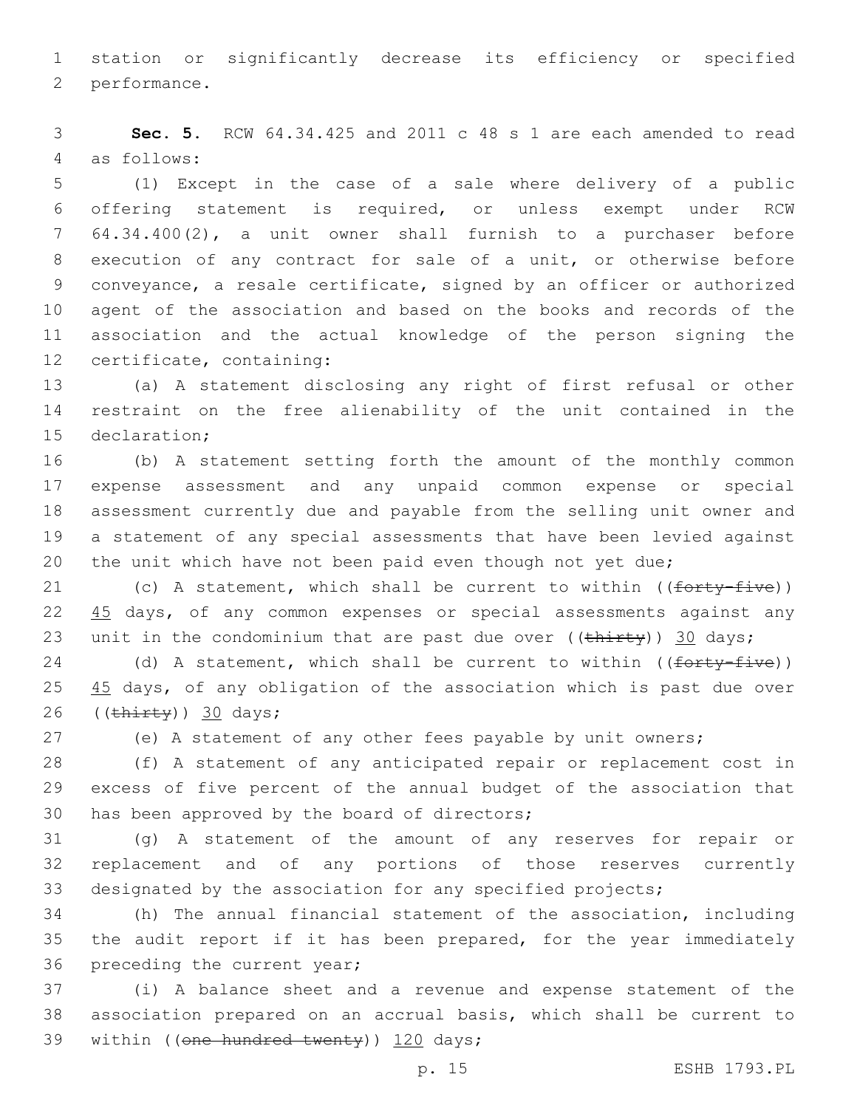1 station or significantly decrease its efficiency or specified 2 performance.

3 **Sec. 5.** RCW 64.34.425 and 2011 c 48 s 1 are each amended to read 4 as follows:

 (1) Except in the case of a sale where delivery of a public offering statement is required, or unless exempt under RCW 64.34.400(2), a unit owner shall furnish to a purchaser before execution of any contract for sale of a unit, or otherwise before conveyance, a resale certificate, signed by an officer or authorized agent of the association and based on the books and records of the association and the actual knowledge of the person signing the 12 certificate, containing:

13 (a) A statement disclosing any right of first refusal or other 14 restraint on the free alienability of the unit contained in the 15 declaration;

 (b) A statement setting forth the amount of the monthly common expense assessment and any unpaid common expense or special assessment currently due and payable from the selling unit owner and a statement of any special assessments that have been levied against 20 the unit which have not been paid even though not yet due;

21 (c) A statement, which shall be current to within  $((forty-five))$ 22 45 days, of any common expenses or special assessments against any 23 unit in the condominium that are past due over  $((\text{thirty}))$  30 days;

24 (d) A statement, which shall be current to within ((forty-five)) 25 45 days, of any obligation of the association which is past due over 26  $((\overline{\text{thirty}}))$  30 days;

27 (e) A statement of any other fees payable by unit owners;

28 (f) A statement of any anticipated repair or replacement cost in 29 excess of five percent of the annual budget of the association that 30 has been approved by the board of directors;

31 (g) A statement of the amount of any reserves for repair or 32 replacement and of any portions of those reserves currently 33 designated by the association for any specified projects;

34 (h) The annual financial statement of the association, including 35 the audit report if it has been prepared, for the year immediately 36 preceding the current year;

37 (i) A balance sheet and a revenue and expense statement of the 38 association prepared on an accrual basis, which shall be current to 39 within ((one hundred twenty)) 120 days;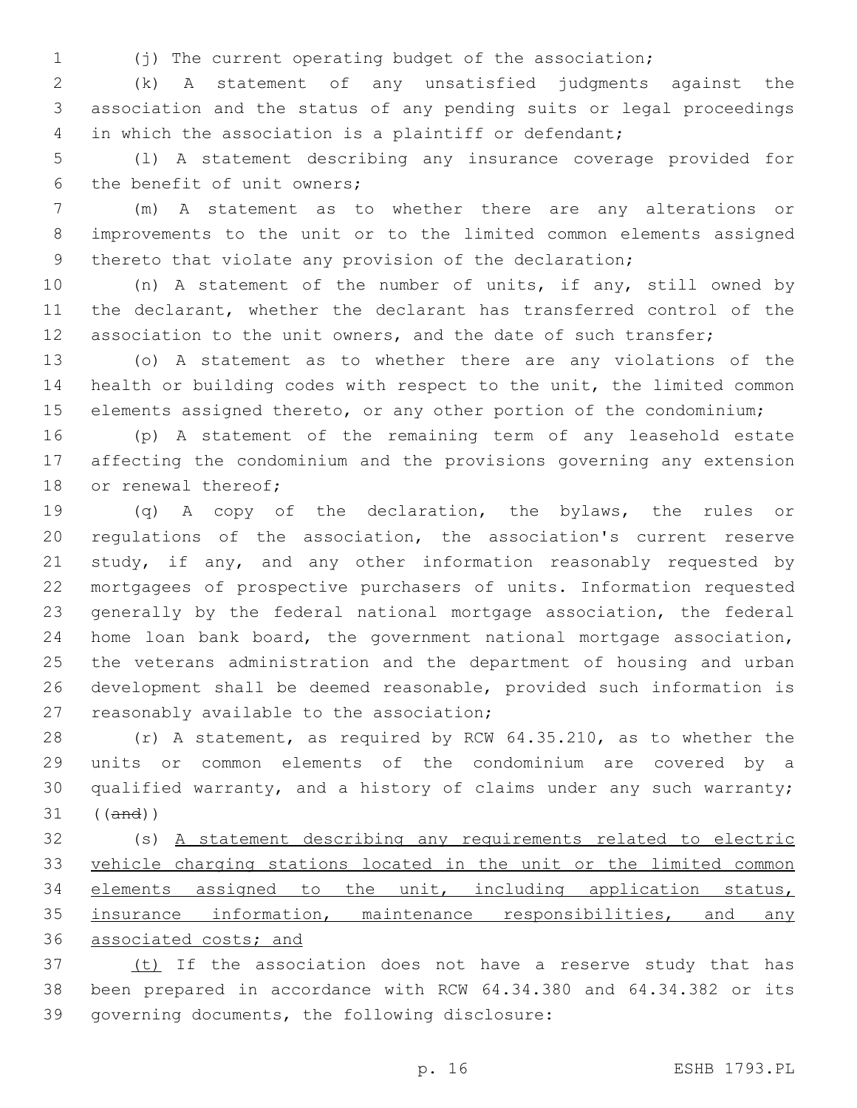(j) The current operating budget of the association;

 (k) A statement of any unsatisfied judgments against the association and the status of any pending suits or legal proceedings in which the association is a plaintiff or defendant;

 (l) A statement describing any insurance coverage provided for 6 the benefit of unit owners;

 (m) A statement as to whether there are any alterations or improvements to the unit or to the limited common elements assigned 9 thereto that violate any provision of the declaration;

 (n) A statement of the number of units, if any, still owned by the declarant, whether the declarant has transferred control of the 12 association to the unit owners, and the date of such transfer;

 (o) A statement as to whether there are any violations of the health or building codes with respect to the unit, the limited common elements assigned thereto, or any other portion of the condominium;

 (p) A statement of the remaining term of any leasehold estate affecting the condominium and the provisions governing any extension 18 or renewal thereof;

 (q) A copy of the declaration, the bylaws, the rules or regulations of the association, the association's current reserve 21 study, if any, and any other information reasonably requested by mortgagees of prospective purchasers of units. Information requested generally by the federal national mortgage association, the federal home loan bank board, the government national mortgage association, the veterans administration and the department of housing and urban development shall be deemed reasonable, provided such information is 27 reasonably available to the association;

 (r) A statement, as required by RCW 64.35.210, as to whether the units or common elements of the condominium are covered by a qualified warranty, and a history of claims under any such warranty; ((and))

 (s) A statement describing any requirements related to electric vehicle charging stations located in the unit or the limited common elements assigned to the unit, including application status, 35 insurance information, maintenance responsibilities, and any associated costs; and

37 (t) If the association does not have a reserve study that has been prepared in accordance with RCW 64.34.380 and 64.34.382 or its 39 governing documents, the following disclosure: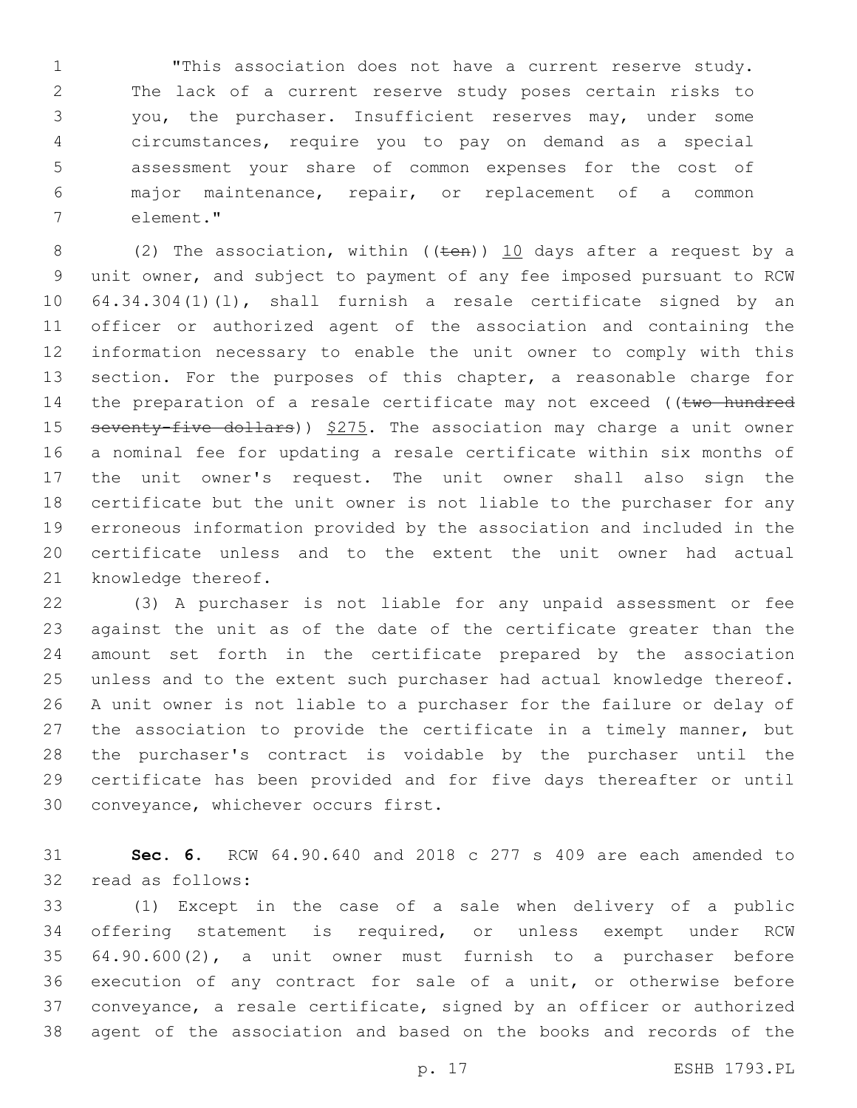"This association does not have a current reserve study. The lack of a current reserve study poses certain risks to you, the purchaser. Insufficient reserves may, under some circumstances, require you to pay on demand as a special assessment your share of common expenses for the cost of major maintenance, repair, or replacement of a common element."7

8 (2) The association, within (( $t$ en))  $10$  days after a request by a unit owner, and subject to payment of any fee imposed pursuant to RCW 64.34.304(1)(l), shall furnish a resale certificate signed by an officer or authorized agent of the association and containing the information necessary to enable the unit owner to comply with this 13 section. For the purposes of this chapter, a reasonable charge for 14 the preparation of a resale certificate may not exceed ((two hundred 15 seventy-five dollars)) \$275. The association may charge a unit owner a nominal fee for updating a resale certificate within six months of the unit owner's request. The unit owner shall also sign the certificate but the unit owner is not liable to the purchaser for any erroneous information provided by the association and included in the certificate unless and to the extent the unit owner had actual 21 knowledge thereof.

 (3) A purchaser is not liable for any unpaid assessment or fee against the unit as of the date of the certificate greater than the amount set forth in the certificate prepared by the association unless and to the extent such purchaser had actual knowledge thereof. A unit owner is not liable to a purchaser for the failure or delay of the association to provide the certificate in a timely manner, but the purchaser's contract is voidable by the purchaser until the certificate has been provided and for five days thereafter or until 30 conveyance, whichever occurs first.

 **Sec. 6.** RCW 64.90.640 and 2018 c 277 s 409 are each amended to 32 read as follows:

 (1) Except in the case of a sale when delivery of a public offering statement is required, or unless exempt under RCW 64.90.600(2), a unit owner must furnish to a purchaser before execution of any contract for sale of a unit, or otherwise before conveyance, a resale certificate, signed by an officer or authorized agent of the association and based on the books and records of the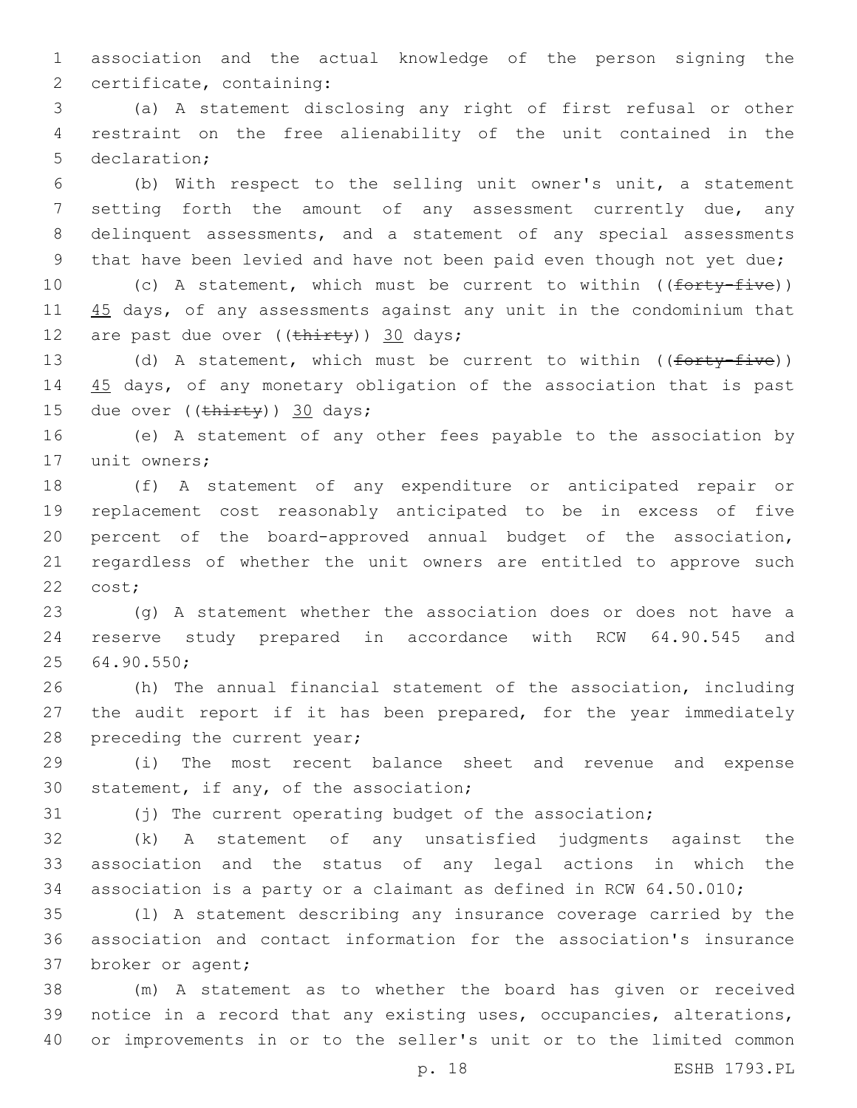1 association and the actual knowledge of the person signing the 2 certificate, containing:

3 (a) A statement disclosing any right of first refusal or other 4 restraint on the free alienability of the unit contained in the 5 declaration;

 (b) With respect to the selling unit owner's unit, a statement 7 setting forth the amount of any assessment currently due, any delinquent assessments, and a statement of any special assessments that have been levied and have not been paid even though not yet due;

10 (c) A statement, which must be current to within ((forty-five)) 11 45 days, of any assessments against any unit in the condominium that 12 are past due over  $((\text{thirty}))$  30 days;

13 (d) A statement, which must be current to within ((forty-five)) 14 45 days, of any monetary obligation of the association that is past 15 due over  $((\text{thirty})$ ) 30 days;

16 (e) A statement of any other fees payable to the association by 17 unit owners;

 (f) A statement of any expenditure or anticipated repair or replacement cost reasonably anticipated to be in excess of five percent of the board-approved annual budget of the association, regardless of whether the unit owners are entitled to approve such 22 cost;

23 (g) A statement whether the association does or does not have a 24 reserve study prepared in accordance with RCW 64.90.545 and 64.90.550;25

26 (h) The annual financial statement of the association, including 27 the audit report if it has been prepared, for the year immediately 28 preceding the current year;

29 (i) The most recent balance sheet and revenue and expense 30 statement, if any, of the association;

31 (j) The current operating budget of the association;

32 (k) A statement of any unsatisfied judgments against the 33 association and the status of any legal actions in which the 34 association is a party or a claimant as defined in RCW 64.50.010;

35 (l) A statement describing any insurance coverage carried by the 36 association and contact information for the association's insurance 37 broker or agent;

38 (m) A statement as to whether the board has given or received 39 notice in a record that any existing uses, occupancies, alterations, 40 or improvements in or to the seller's unit or to the limited common

p. 18 ESHB 1793.PL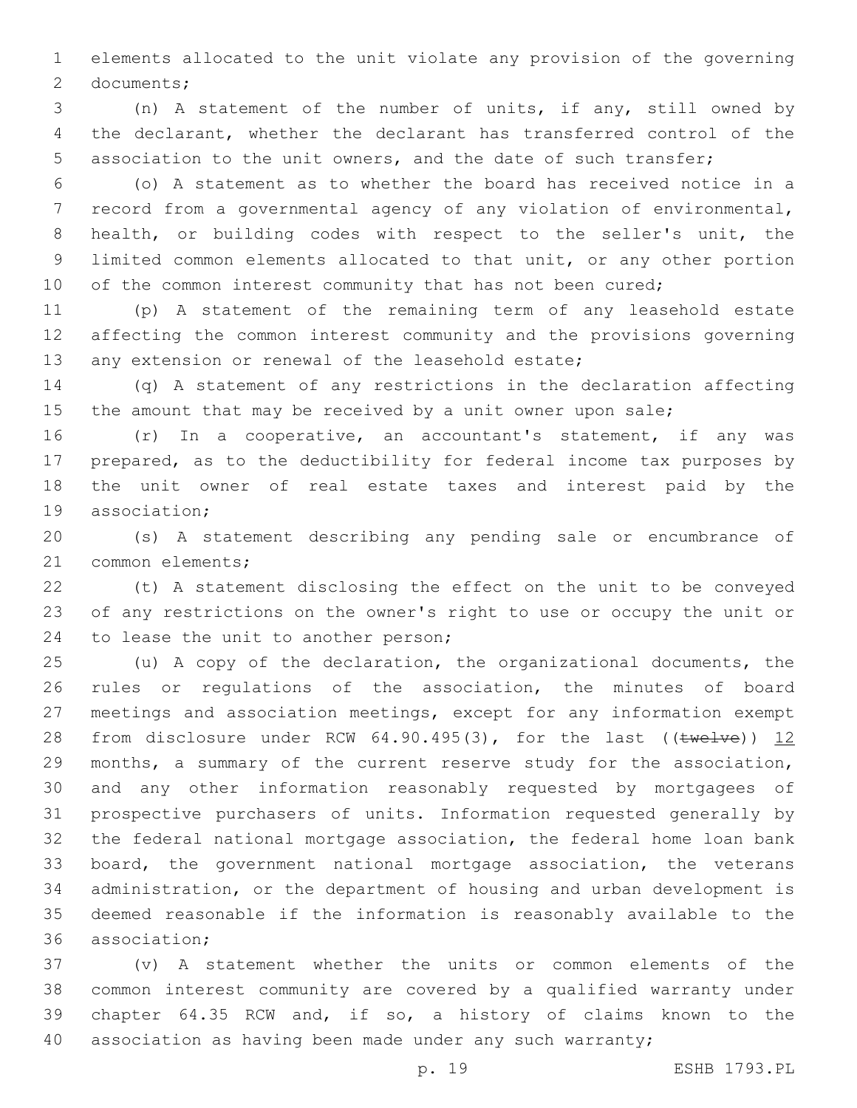elements allocated to the unit violate any provision of the governing 2 documents;

 (n) A statement of the number of units, if any, still owned by the declarant, whether the declarant has transferred control of the association to the unit owners, and the date of such transfer;

 (o) A statement as to whether the board has received notice in a record from a governmental agency of any violation of environmental, health, or building codes with respect to the seller's unit, the limited common elements allocated to that unit, or any other portion 10 of the common interest community that has not been cured;

 (p) A statement of the remaining term of any leasehold estate affecting the common interest community and the provisions governing 13 any extension or renewal of the leasehold estate;

 (q) A statement of any restrictions in the declaration affecting 15 the amount that may be received by a unit owner upon sale;

 (r) In a cooperative, an accountant's statement, if any was prepared, as to the deductibility for federal income tax purposes by the unit owner of real estate taxes and interest paid by the 19 association:

 (s) A statement describing any pending sale or encumbrance of 21 common elements;

 (t) A statement disclosing the effect on the unit to be conveyed of any restrictions on the owner's right to use or occupy the unit or 24 to lease the unit to another person;

 (u) A copy of the declaration, the organizational documents, the rules or regulations of the association, the minutes of board meetings and association meetings, except for any information exempt 28 from disclosure under RCW  $64.90.495(3)$ , for the last (( $tweIve$ )) 12 months, a summary of the current reserve study for the association, and any other information reasonably requested by mortgagees of prospective purchasers of units. Information requested generally by the federal national mortgage association, the federal home loan bank board, the government national mortgage association, the veterans administration, or the department of housing and urban development is deemed reasonable if the information is reasonably available to the 36 association;

 (v) A statement whether the units or common elements of the common interest community are covered by a qualified warranty under chapter 64.35 RCW and, if so, a history of claims known to the 40 association as having been made under any such warranty;